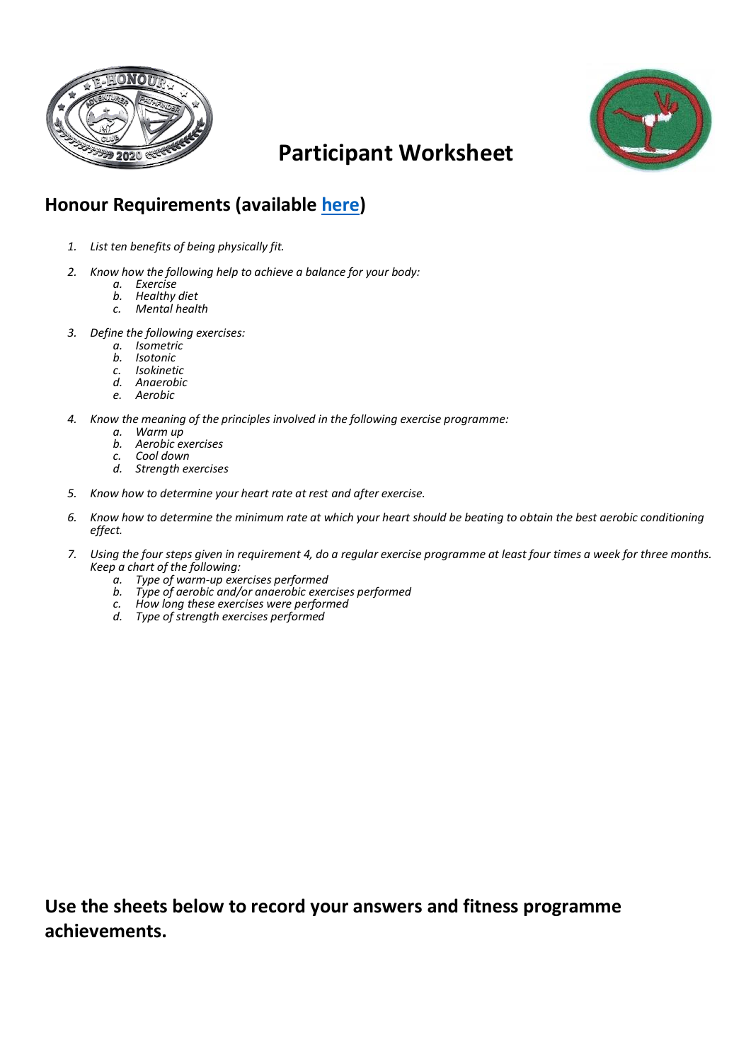



## **Participant Worksheet**

## **Honour Requirements (available [here\)](https://www.pathfindersonline.org/honors/recreation/82-physical-fitness)**

- *1. List ten benefits of being physically fit.*
- *2. Know how the following help to achieve a balance for your body:*
	- *a. Exercise*
	- *b. Healthy diet*
	- *c. Mental health*
- *3. Define the following exercises:*
	- *a. Isometric*
	- *b. Isotonic*
	- *c. Isokinetic*
	- *d. Anaerobic*
	- *e. Aerobic*
- *4. Know the meaning of the principles involved in the following exercise programme:*
	- *a. Warm up*
	- *b. Aerobic exercises*
	- *c. Cool down*
	- *d. Strength exercises*
- *5. Know how to determine your heart rate at rest and after exercise.*
- *6. Know how to determine the minimum rate at which your heart should be beating to obtain the best aerobic conditioning effect.*
- *7. Using the four steps given in requirement 4, do a regular exercise programme at least four times a week for three months. Keep a chart of the following:*
	- *a. Type of warm-up exercises performed*
	- *b. Type of aerobic and/or anaerobic exercises performed*
	- *c. How long these exercises were performed*
	- *d. Type of strength exercises performed*

**Use the sheets below to record your answers and fitness programme achievements.**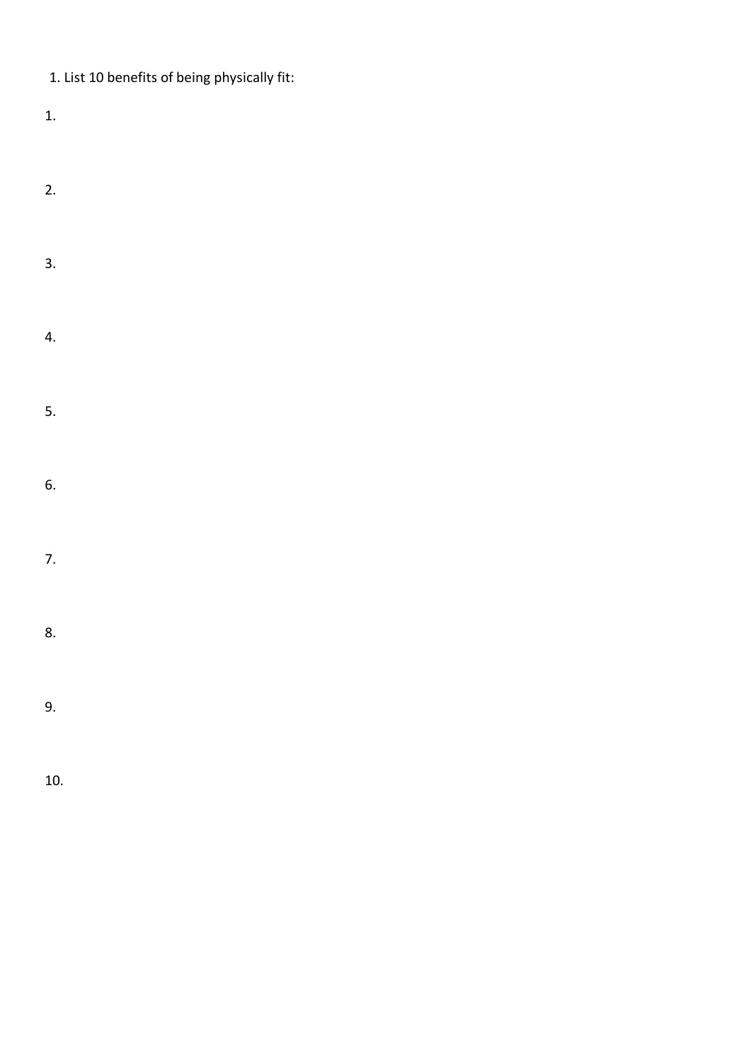| 1. List 10 benefits of being physically fit: |  |
|----------------------------------------------|--|
|----------------------------------------------|--|

1.

2. 3. 4. 5. 6. 7. 8. 9.

10.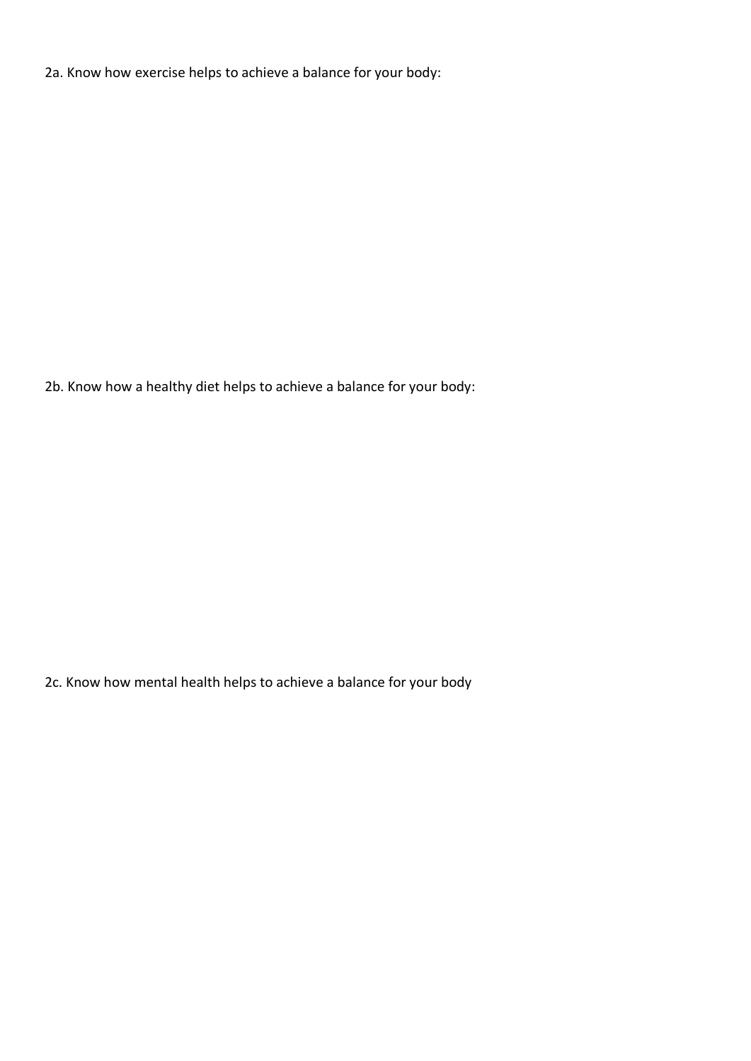2a. Know how exercise helps to achieve a balance for your body:

2b. Know how a healthy diet helps to achieve a balance for your body:

2c. Know how mental health helps to achieve a balance for your body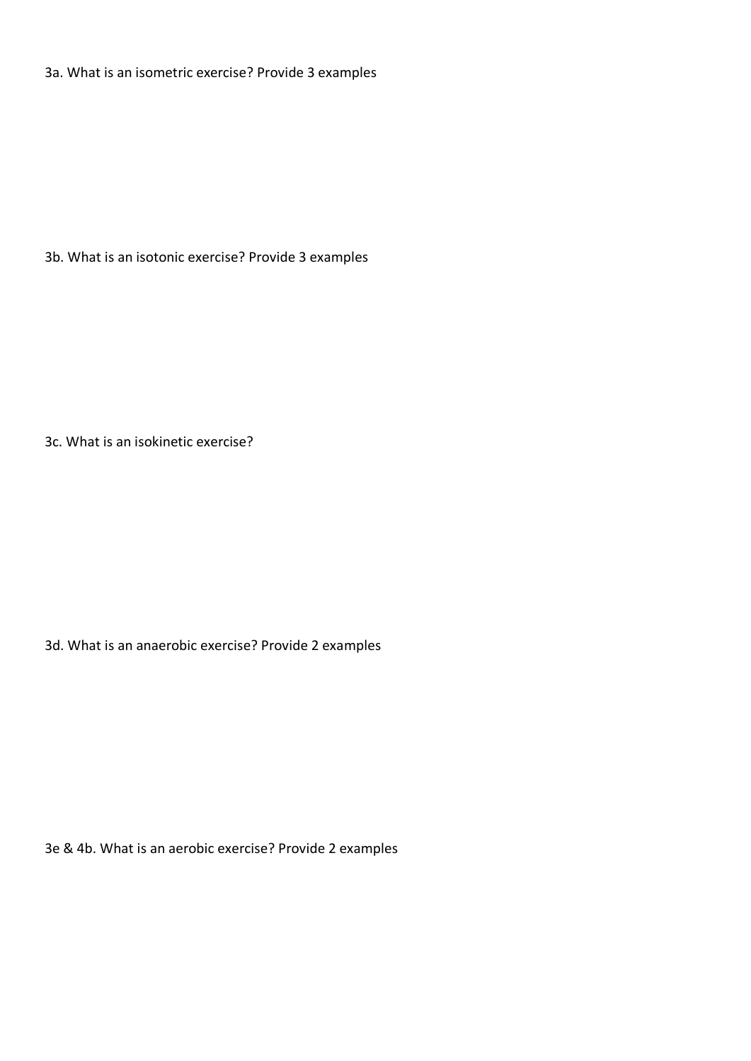3a. What is an isometric exercise? Provide 3 examples

3b. What is an isotonic exercise? Provide 3 examples

3c. What is an isokinetic exercise?

3d. What is an anaerobic exercise? Provide 2 examples

3e & 4b. What is an aerobic exercise? Provide 2 examples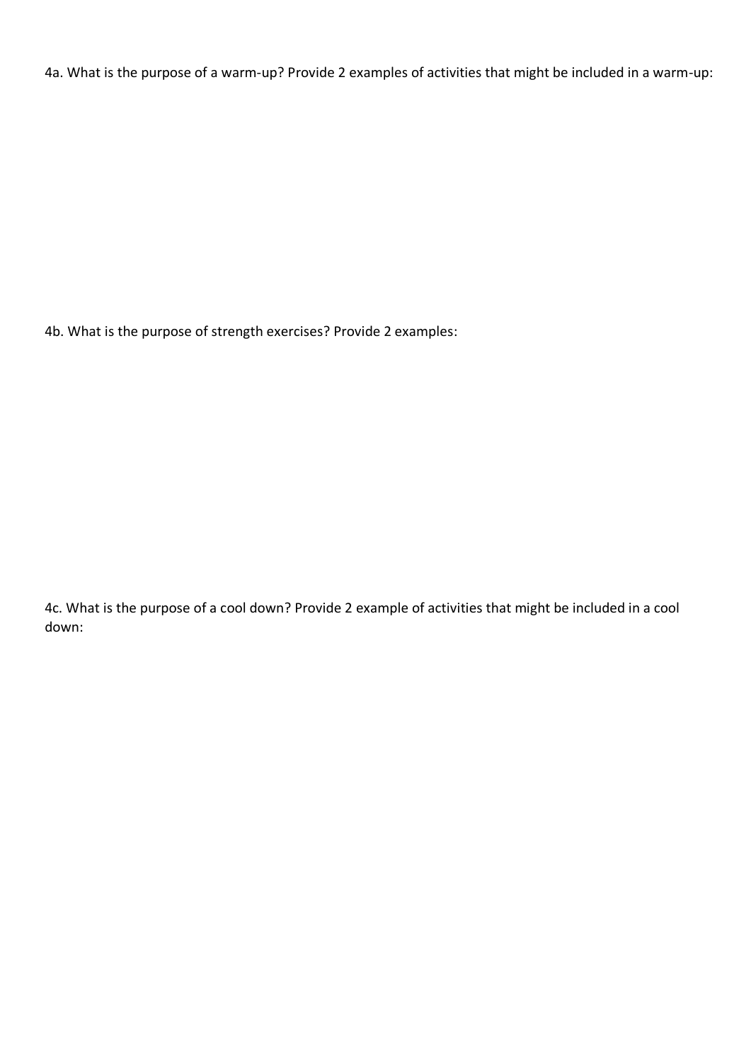4a. What is the purpose of a warm-up? Provide 2 examples of activities that might be included in a warm-up:

4b. What is the purpose of strength exercises? Provide 2 examples:

4c. What is the purpose of a cool down? Provide 2 example of activities that might be included in a cool down: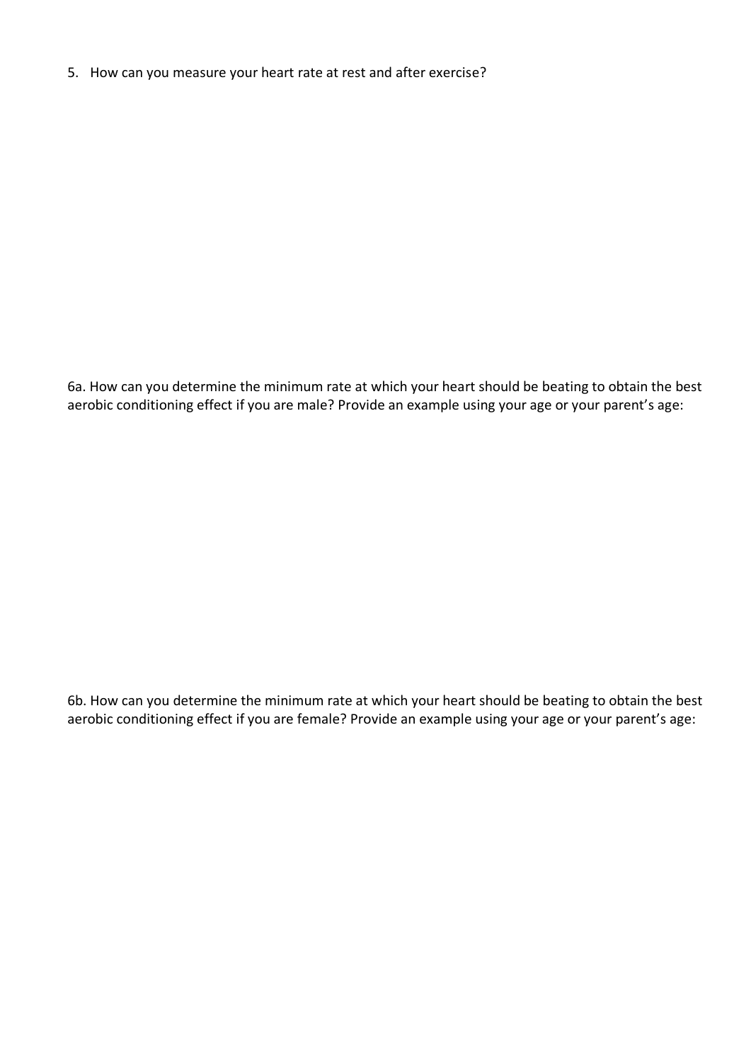5. How can you measure your heart rate at rest and after exercise?

6a. How can you determine the minimum rate at which your heart should be beating to obtain the best aerobic conditioning effect if you are male? Provide an example using your age or your parent's age:

6b. How can you determine the minimum rate at which your heart should be beating to obtain the best aerobic conditioning effect if you are female? Provide an example using your age or your parent's age: